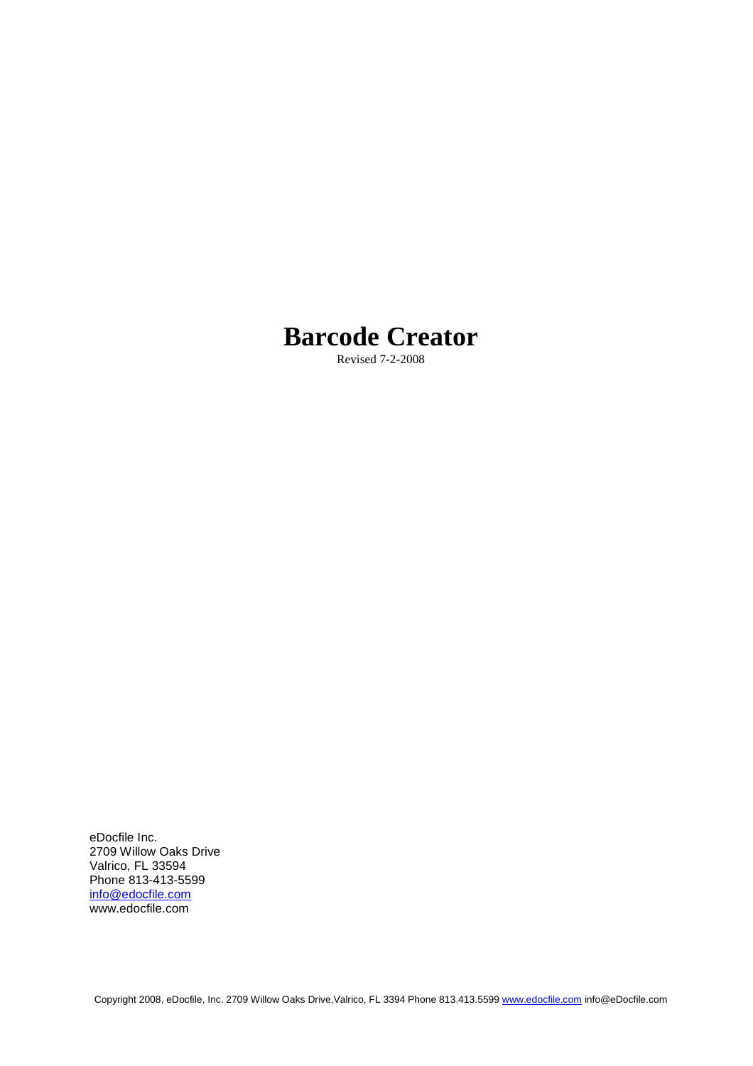# **Barcode Creator**

Revised 7-2-2008

eDocfile Inc. 2709 Willow Oaks Drive Valrico, FL 33594 Phone 813-413-5599 info@edocfile.com www.edocfile.com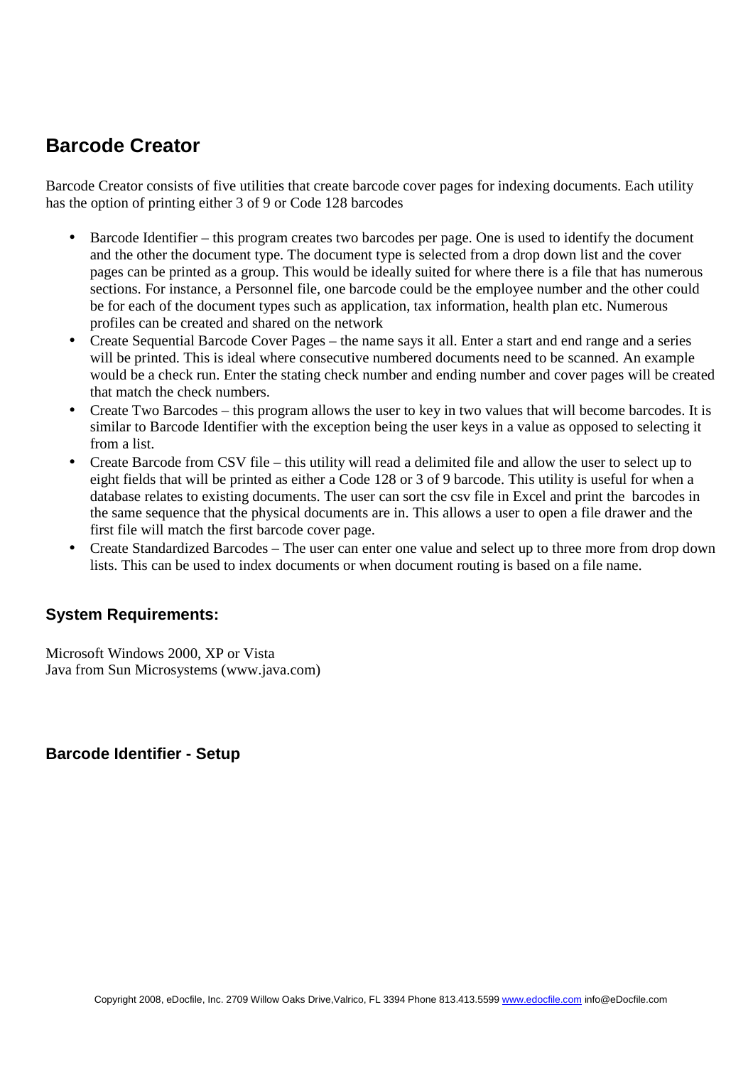# **Barcode Creator**

Barcode Creator consists of five utilities that create barcode cover pages for indexing documents. Each utility has the option of printing either 3 of 9 or Code 128 barcodes

- Barcode Identifier this program creates two barcodes per page. One is used to identify the document and the other the document type. The document type is selected from a drop down list and the cover pages can be printed as a group. This would be ideally suited for where there is a file that has numerous sections. For instance, a Personnel file, one barcode could be the employee number and the other could be for each of the document types such as application, tax information, health plan etc. Numerous profiles can be created and shared on the network
- Create Sequential Barcode Cover Pages the name says it all. Enter a start and end range and a series will be printed. This is ideal where consecutive numbered documents need to be scanned. An example would be a check run. Enter the stating check number and ending number and cover pages will be created that match the check numbers.
- Create Two Barcodes this program allows the user to key in two values that will become barcodes. It is similar to Barcode Identifier with the exception being the user keys in a value as opposed to selecting it from a list.
- Create Barcode from CSV file this utility will read a delimited file and allow the user to select up to eight fields that will be printed as either a Code 128 or 3 of 9 barcode. This utility is useful for when a database relates to existing documents. The user can sort the csv file in Excel and print the barcodes in the same sequence that the physical documents are in. This allows a user to open a file drawer and the first file will match the first barcode cover page.
- Create Standardized Barcodes The user can enter one value and select up to three more from drop down lists. This can be used to index documents or when document routing is based on a file name.

## **System Requirements:**

Microsoft Windows 2000, XP or Vista Java from Sun Microsystems (www.java.com)

**Barcode Identifier - Setup**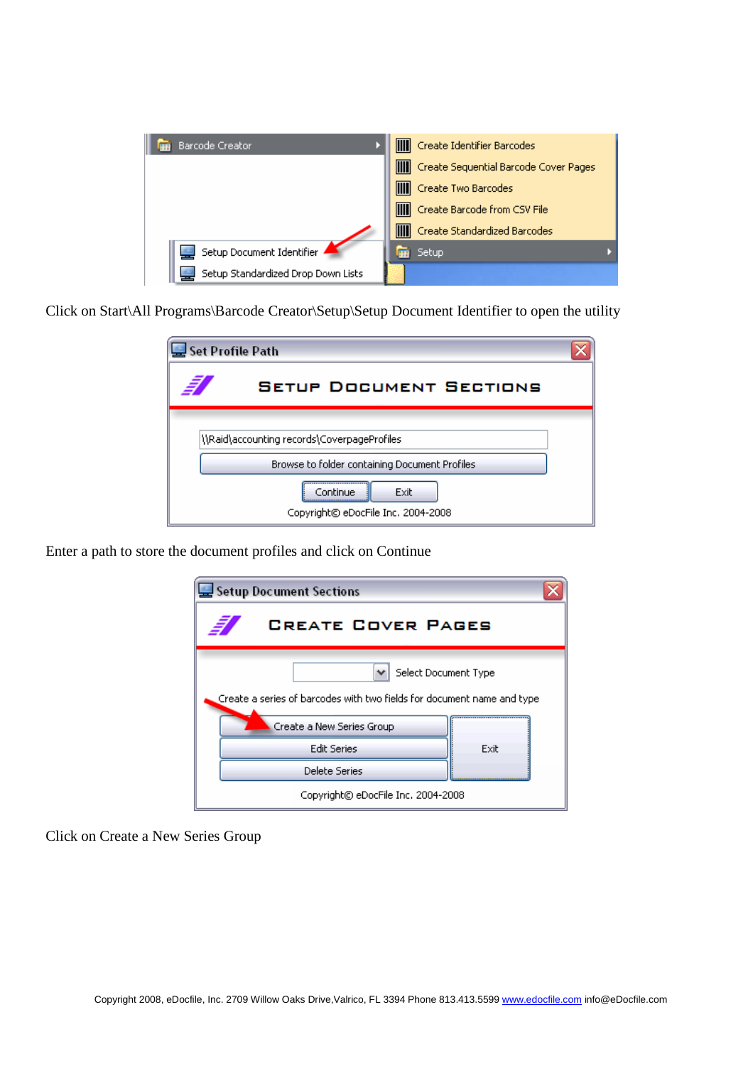| Barcode Creator                    | Create Identifier Barcodes              |
|------------------------------------|-----------------------------------------|
|                                    | Create Sequential Barcode Cover Pages   |
|                                    | Create Two Barcodes                     |
|                                    | <b>III</b> Create Barcode from CSV File |
|                                    | Create Standardized Barcodes            |
| Setup Document Identifier          | Setup                                   |
| Setup Standardized Drop Down Lists |                                         |

Click on Start\All Programs\Barcode Creator\Setup\Setup Document Identifier to open the utility

| Set Profile Path                                       |  |
|--------------------------------------------------------|--|
| €<br><b>SETUP DOCUMENT SECTIONS</b>                    |  |
| \\Raid\accounting records\CoverpageProfiles            |  |
| Browse to folder containing Document Profiles          |  |
| Continue<br>Exit<br>Copyright© eDocFile Inc. 2004-2008 |  |

Enter a path to store the document profiles and click on Continue



Click on Create a New Series Group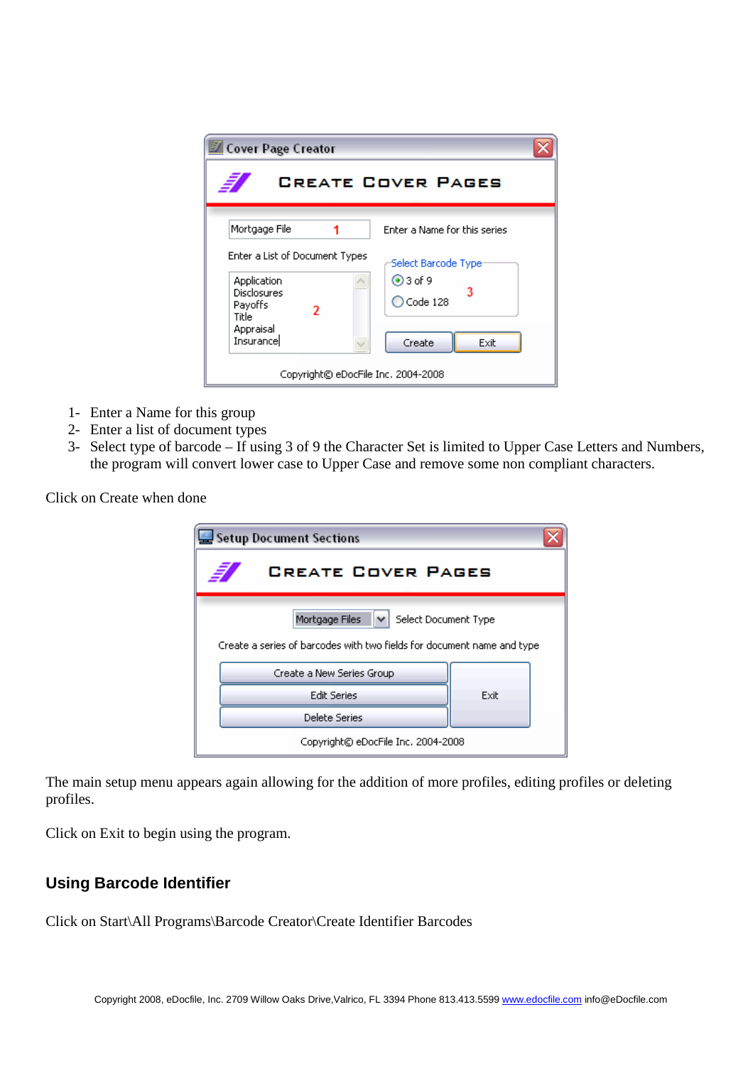| <b>Cover Page Creator</b>                                                                                        |                                                                                 |  |
|------------------------------------------------------------------------------------------------------------------|---------------------------------------------------------------------------------|--|
| <b>CREATE COVER PAGES</b>                                                                                        |                                                                                 |  |
| Mortgage File                                                                                                    | Enter a Name for this series                                                    |  |
| Enter a List of Document Types<br>Application<br>Disclosures<br>Payoffs<br>2<br>Title<br>Appraisal<br>Insurancel | Select Barcode Type:<br>$②3$ of 9<br>з<br>$\bigcirc$ Code 128<br>Create<br>Exit |  |
| Copyright© eDocFile Inc. 2004-2008                                                                               |                                                                                 |  |

- 1- Enter a Name for this group
- 2- Enter a list of document types
- 3- Select type of barcode If using 3 of 9 the Character Set is limited to Upper Case Letters and Numbers, the program will convert lower case to Upper Case and remove some non compliant characters.

Click on Create when done

| Setup Document Sections                                                                                          |  |  |
|------------------------------------------------------------------------------------------------------------------|--|--|
| <b>CREATE COVER PAGES</b>                                                                                        |  |  |
| Mortgage Files<br>Select Document Type<br>Create a series of barcodes with two fields for document name and type |  |  |
| Create a New Series Group                                                                                        |  |  |
| <b>Edit Series</b><br>Exit                                                                                       |  |  |
| <b>Delete Series</b>                                                                                             |  |  |
| Copyright© eDocFile Inc. 2004-2008                                                                               |  |  |

The main setup menu appears again allowing for the addition of more profiles, editing profiles or deleting profiles.

Click on Exit to begin using the program.

## **Using Barcode Identifier**

Click on Start\All Programs\Barcode Creator\Create Identifier Barcodes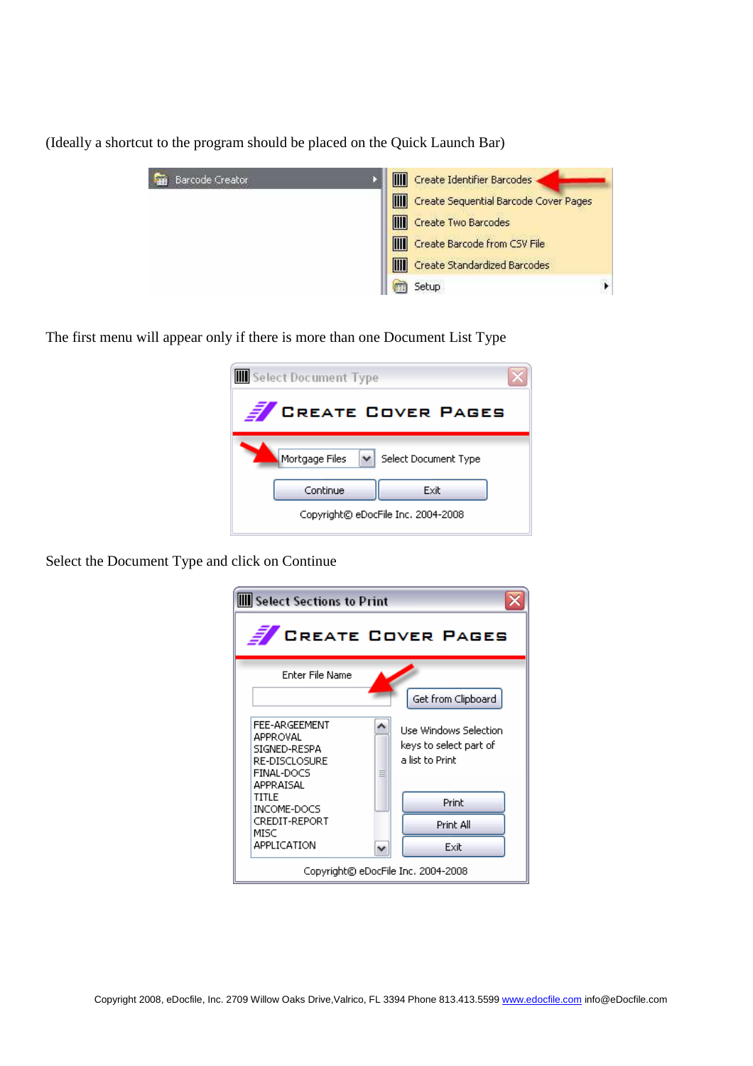(Ideally a shortcut to the program should be placed on the Quick Launch Bar)

| Barcode Creator | m<br>Create Identifier Barcodes            |
|-----------------|--------------------------------------------|
|                 | m<br>Create Sequential Barcode Cover Pages |
|                 | Create Two Barcodes                        |
|                 | m<br>Create Barcode from CSV File          |
|                 | m<br>Create Standardized Barcodes          |
|                 | Setup                                      |

The first menu will appear only if there is more than one Document List Type

| Select Document Type                     |      |  |
|------------------------------------------|------|--|
| <b>CREATE COVER PAGES</b>                |      |  |
| V Select Document Type<br>Mortgage Files |      |  |
| Continue                                 | Exit |  |
| Copyright© eDocFile Inc. 2004-2008       |      |  |

Select the Document Type and click on Continue

| <b>III</b> Select Sections to Print                                                   |                                                                    |  |
|---------------------------------------------------------------------------------------|--------------------------------------------------------------------|--|
| <b>E</b> CREATE COVER PAGES                                                           |                                                                    |  |
| Enter File Name                                                                       | Get from Clipboard                                                 |  |
| FEE-ARGEEMENT<br>APPROVAL<br>SIGNED-RESPA<br>RE-DISCLOSURE<br>FINAL-DOCS<br>APPRAISAL | Use Windows Selection<br>keys to select part of<br>a list to Print |  |
| TITLE<br>INCOME-DOCS                                                                  | Print                                                              |  |
| CREDIT-REPORT<br>MISC                                                                 | Print All                                                          |  |
| APPLICATION                                                                           | Exit                                                               |  |
| Copyright© eDocFile Inc. 2004-2008                                                    |                                                                    |  |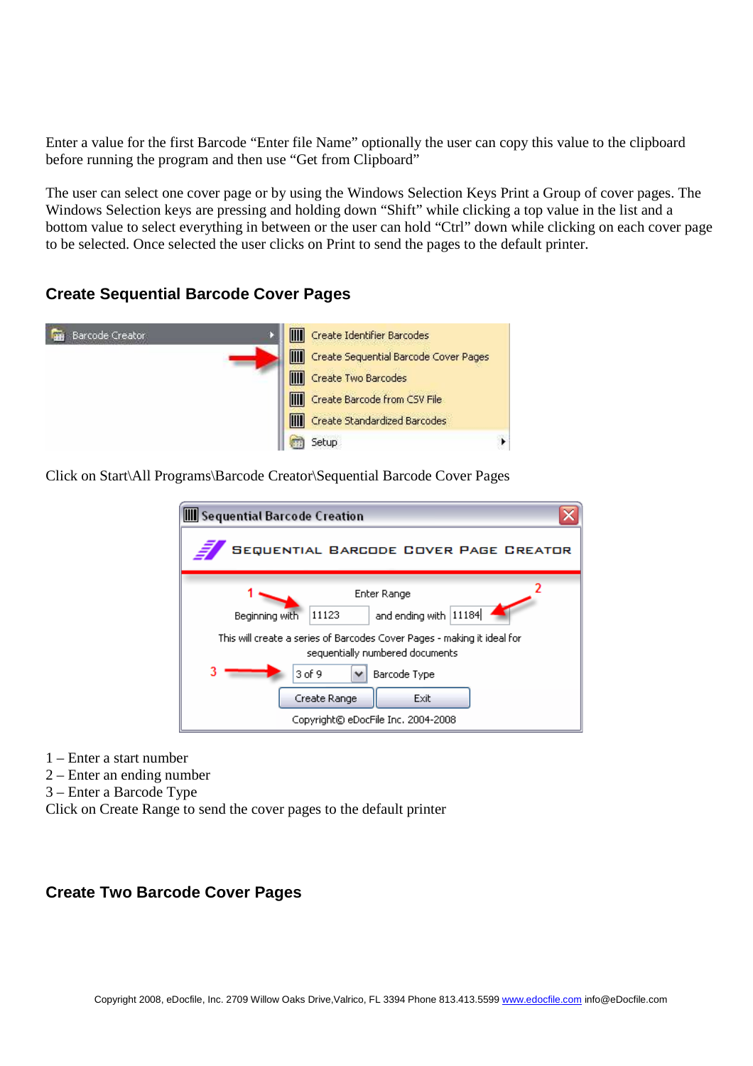Enter a value for the first Barcode "Enter file Name" optionally the user can copy this value to the clipboard before running the program and then use "Get from Clipboard"

The user can select one cover page or by using the Windows Selection Keys Print a Group of cover pages. The Windows Selection keys are pressing and holding down "Shift" while clicking a top value in the list and a bottom value to select everything in between or the user can hold "Ctrl" down while clicking on each cover page to be selected. Once selected the user clicks on Print to send the pages to the default printer.

#### **Create Sequential Barcode Cover Pages**



Click on Start\All Programs\Barcode Creator\Sequential Barcode Cover Pages

| <b>III</b> Sequential Barcode Creation                                                                                                                                                                                                                                |  |  |
|-----------------------------------------------------------------------------------------------------------------------------------------------------------------------------------------------------------------------------------------------------------------------|--|--|
| SEQUENTIAL BARCODE COVER PAGE CREATOR                                                                                                                                                                                                                                 |  |  |
| Enter Range<br>and ending with 11184<br>11123<br>Beginning with<br>This will create a series of Barcodes Cover Pages - making it ideal for<br>sequentially numbered documents<br>3 of 9<br>Barcode Type<br>Create Range<br>Exit<br>Copyright© eDocFile Inc. 2004-2008 |  |  |

- 1 Enter a start number
- 2 Enter an ending number
- 3 Enter a Barcode Type

Click on Create Range to send the cover pages to the default printer

#### **Create Two Barcode Cover Pages**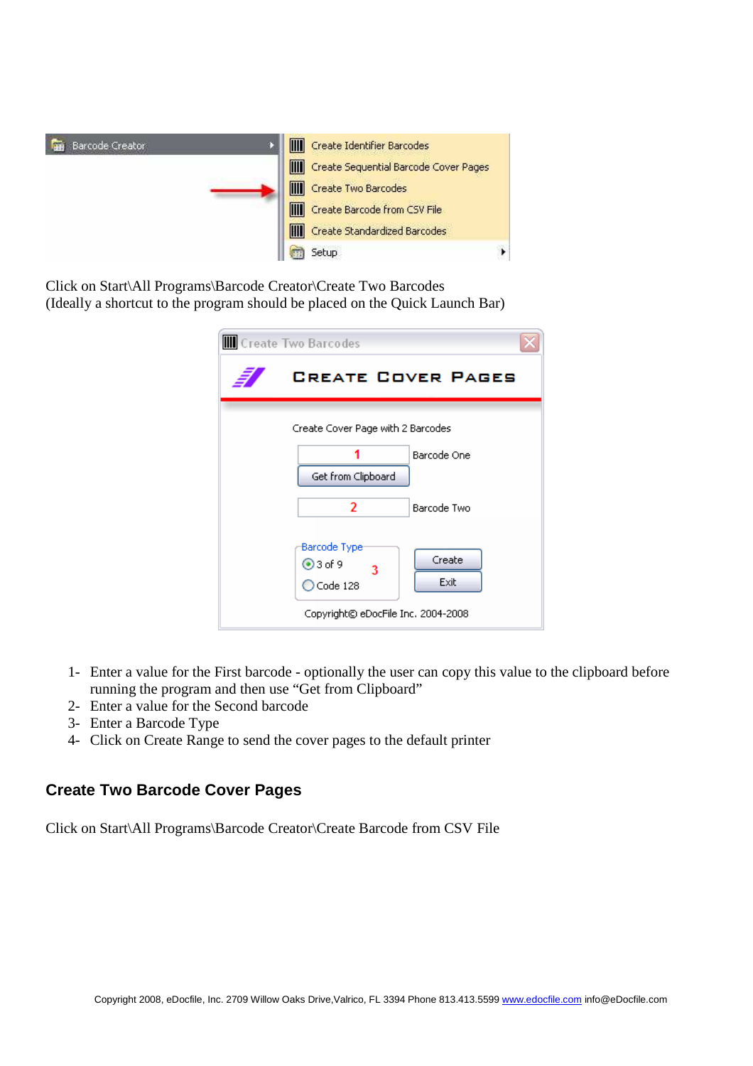

Click on Start\All Programs\Barcode Creator\Create Two Barcodes (Ideally a shortcut to the program should be placed on the Quick Launch Bar)

| <b>III</b> Create Two Barcodes                                           |  |  |
|--------------------------------------------------------------------------|--|--|
| <b>CREATE COVER PAGES</b>                                                |  |  |
| Create Cover Page with 2 Barcodes                                        |  |  |
| Barcode One<br>Get from Clipboard                                        |  |  |
| 2<br>Barcode Two                                                         |  |  |
| Barcode Type:<br>Create<br>$③3$ of 9<br>3<br>Exit<br>$\bigcirc$ Code 128 |  |  |
| Copyright© eDocFile Inc. 2004-2008                                       |  |  |

- 1- Enter a value for the First barcode optionally the user can copy this value to the clipboard before running the program and then use "Get from Clipboard"
- 2- Enter a value for the Second barcode
- 3- Enter a Barcode Type
- 4- Click on Create Range to send the cover pages to the default printer

#### **Create Two Barcode Cover Pages**

Click on Start\All Programs\Barcode Creator\Create Barcode from CSV File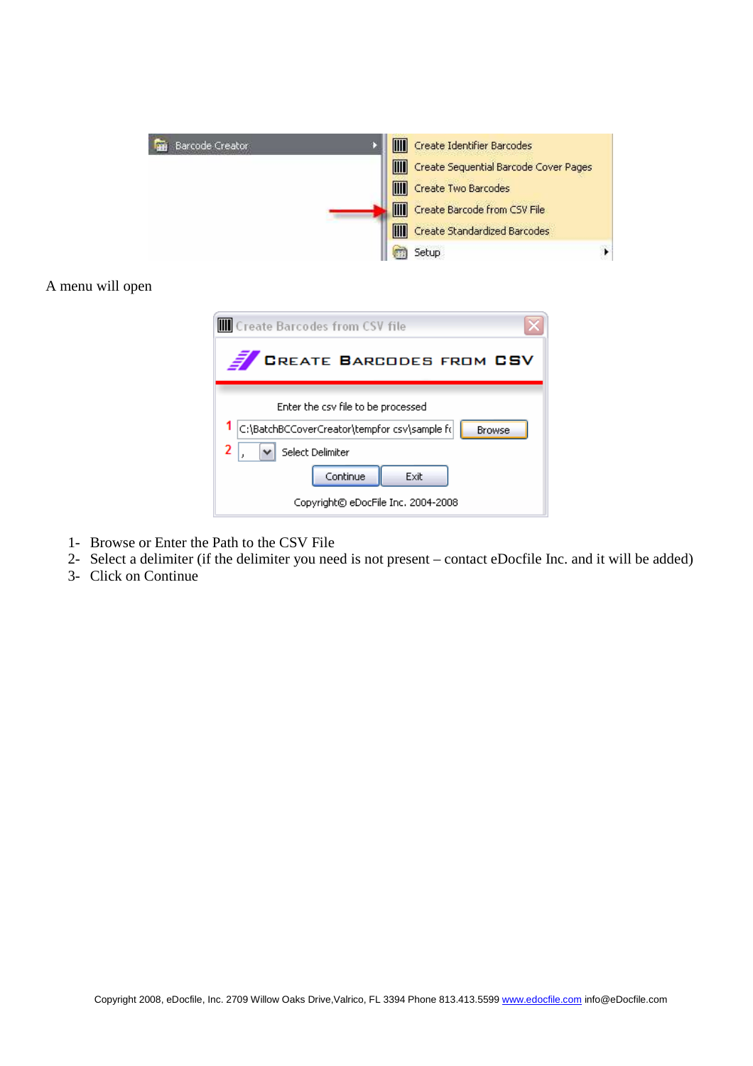

#### A menu will open

| Create Barcodes from CSV file                                                                                                                                                          |
|----------------------------------------------------------------------------------------------------------------------------------------------------------------------------------------|
| <b>CREATE BARCODES FROM CSV</b>                                                                                                                                                        |
| Enter the csy file to be processed<br>C:\BatchBCCoverCreator\tempfor csv\sample f(<br><b>Browse</b><br>2<br>Select Delimiter<br>Continue<br>Exit<br>Copyright© eDocFile Inc. 2004-2008 |

- 1- Browse or Enter the Path to the CSV File
- 2- Select a delimiter (if the delimiter you need is not present contact eDocfile Inc. and it will be added)
- 3- Click on Continue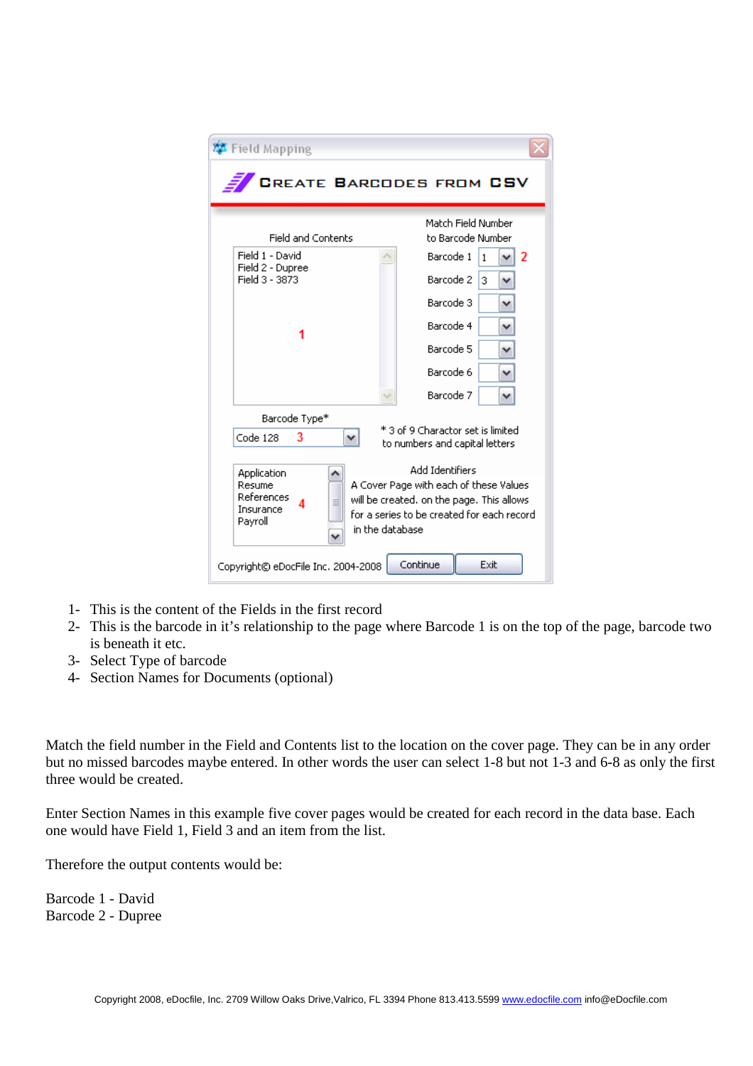| 摩 Field Mapping                                                                                                                                                                                                                             |                                                                     |  |
|---------------------------------------------------------------------------------------------------------------------------------------------------------------------------------------------------------------------------------------------|---------------------------------------------------------------------|--|
|                                                                                                                                                                                                                                             | <b>CREATE BARCODES FROM CSV</b>                                     |  |
| <b>Field and Contents</b>                                                                                                                                                                                                                   | Match Field Number<br>to Barcode Number                             |  |
| Field 1 - David                                                                                                                                                                                                                             | Barcode 1<br>2<br>1                                                 |  |
| Field 2 - Dupree<br>Field 3 - 3873                                                                                                                                                                                                          | Barcode 2<br>3<br>v                                                 |  |
|                                                                                                                                                                                                                                             | Barcode 3<br>v                                                      |  |
|                                                                                                                                                                                                                                             | Barcode 4<br>v                                                      |  |
|                                                                                                                                                                                                                                             | Barcode 5                                                           |  |
|                                                                                                                                                                                                                                             | Barcode 6                                                           |  |
|                                                                                                                                                                                                                                             | Barcode 7                                                           |  |
| Barcode Type*                                                                                                                                                                                                                               |                                                                     |  |
| Code 128<br>3                                                                                                                                                                                                                               | * 3 of 9 Charactor set is limited<br>to numbers and capital letters |  |
| Add Identifiers<br>Application<br>A Cover Page with each of these Values<br>Resume<br>References<br>will be created, on the page. This allows<br>≡<br>Insurance<br>for a series to be created for each record<br>Payroll<br>in the database |                                                                     |  |
| Continue<br>Exit<br>Copyright© eDocFile Inc. 2004-2008                                                                                                                                                                                      |                                                                     |  |

- 1- This is the content of the Fields in the first record
- 2- This is the barcode in it's relationship to the page where Barcode 1 is on the top of the page, barcode two is beneath it etc.
- 3- Select Type of barcode
- 4- Section Names for Documents (optional)

Match the field number in the Field and Contents list to the location on the cover page. They can be in any order but no missed barcodes maybe entered. In other words the user can select 1-8 but not 1-3 and 6-8 as only the first three would be created.

Enter Section Names in this example five cover pages would be created for each record in the data base. Each one would have Field 1, Field 3 and an item from the list.

Therefore the output contents would be:

Barcode 1 - David Barcode 2 - Dupree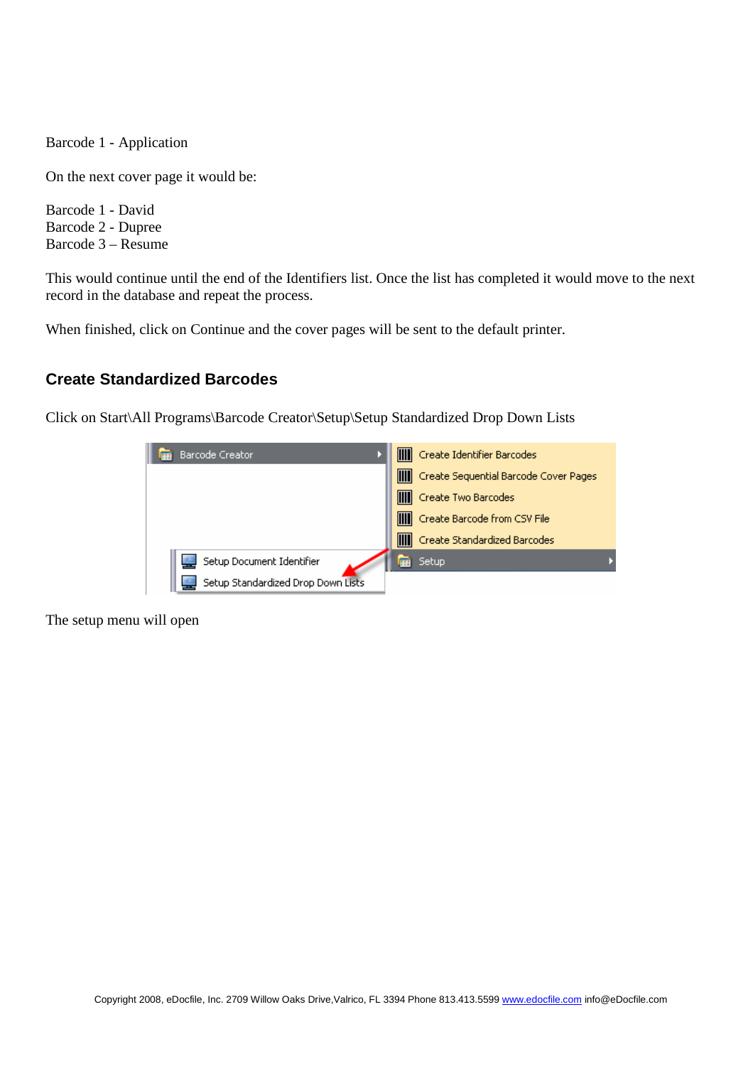Barcode 1 - Application

On the next cover page it would be:

Barcode 1 - David Barcode 2 - Dupree Barcode 3 – Resume

This would continue until the end of the Identifiers list. Once the list has completed it would move to the next record in the database and repeat the process.

When finished, click on Continue and the cover pages will be sent to the default printer.

#### **Create Standardized Barcodes**

Click on Start\All Programs\Barcode Creator\Setup\Setup Standardized Drop Down Lists



The setup menu will open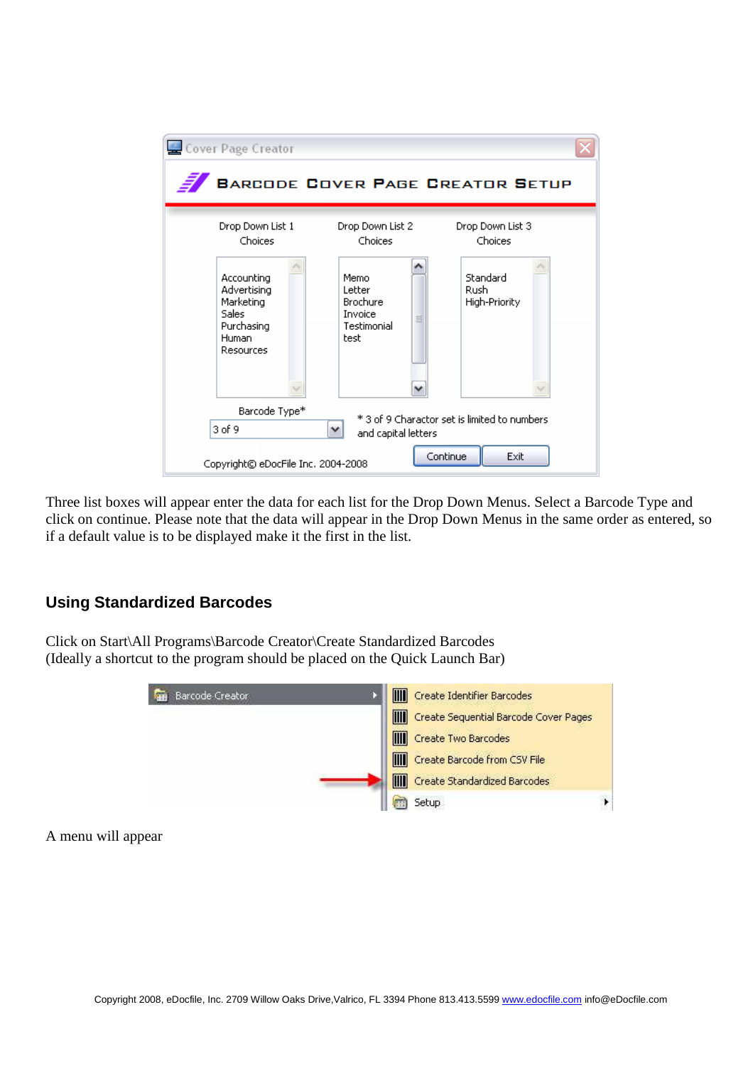| Cover Page Creator                                                                         |                                                                   |                                   |
|--------------------------------------------------------------------------------------------|-------------------------------------------------------------------|-----------------------------------|
| <b>BARCODE COVER PAGE CREATOR SETUP</b>                                                    |                                                                   |                                   |
| Drop Down List 1<br>Choices                                                                | Drop Down List 2<br>Choices                                       | Drop Down List 3<br>Choices       |
| Accounting<br>Advertising<br>Marketing<br><b>Sales</b><br>Purchasing<br>Human<br>Resources | Memo<br>Letter<br>Brochure<br>Invoice<br>目<br>Testimonial<br>test | Standard<br>Rush<br>High-Priority |
| Barcode Type*<br>* 3 of 9 Charactor set is limited to numbers<br>3 of 9<br>v               |                                                                   |                                   |
| and capital letters<br>Continue<br>Exit<br>Copyright© eDocFile Inc. 2004-2008              |                                                                   |                                   |

Three list boxes will appear enter the data for each list for the Drop Down Menus. Select a Barcode Type and click on continue. Please note that the data will appear in the Drop Down Menus in the same order as entered, so if a default value is to be displayed make it the first in the list.

# **Using Standardized Barcodes**

Click on Start\All Programs\Barcode Creator\Create Standardized Barcodes (Ideally a shortcut to the program should be placed on the Quick Launch Bar)



A menu will appear